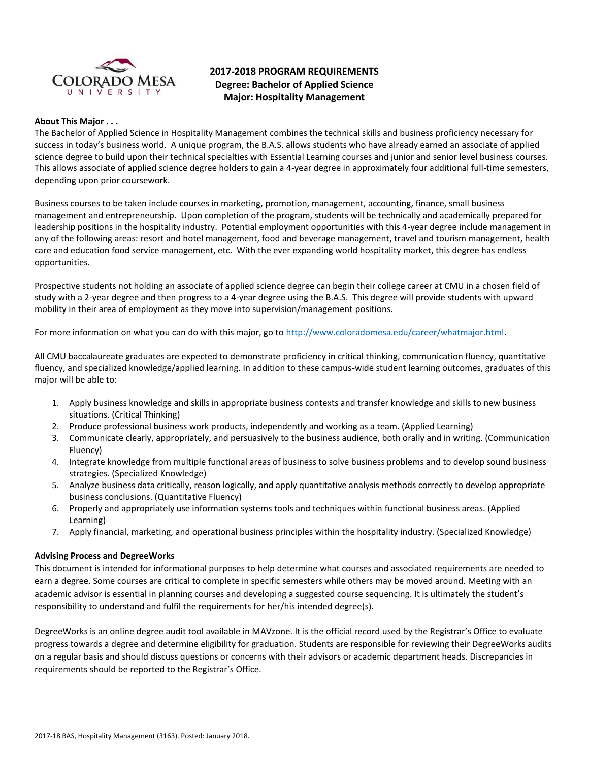

# **2017-2018 PROGRAM REQUIREMENTS Degree: Bachelor of Applied Science Major: Hospitality Management**

#### **About This Major . . .**

The Bachelor of Applied Science in Hospitality Management combines the technical skills and business proficiency necessary for success in today's business world. A unique program, the B.A.S. allows students who have already earned an associate of applied science degree to build upon their technical specialties with Essential Learning courses and junior and senior level business courses. This allows associate of applied science degree holders to gain a 4-year degree in approximately four additional full-time semesters, depending upon prior coursework.

Business courses to be taken include courses in marketing, promotion, management, accounting, finance, small business management and entrepreneurship. Upon completion of the program, students will be technically and academically prepared for leadership positions in the hospitality industry. Potential employment opportunities with this 4-year degree include management in any of the following areas: resort and hotel management, food and beverage management, travel and tourism management, health care and education food service management, etc. With the ever expanding world hospitality market, this degree has endless opportunities.

Prospective students not holding an associate of applied science degree can begin their college career at CMU in a chosen field of study with a 2-year degree and then progress to a 4-year degree using the B.A.S. This degree will provide students with upward mobility in their area of employment as they move into supervision/management positions.

For more information on what you can do with this major, go to [http://www.coloradomesa.edu/career/whatmajor.html.](http://www.coloradomesa.edu/career/whatmajor.html)

All CMU baccalaureate graduates are expected to demonstrate proficiency in critical thinking, communication fluency, quantitative fluency, and specialized knowledge/applied learning. In addition to these campus-wide student learning outcomes, graduates of this major will be able to:

- 1. Apply business knowledge and skills in appropriate business contexts and transfer knowledge and skills to new business situations. (Critical Thinking)
- 2. Produce professional business work products, independently and working as a team. (Applied Learning)
- 3. Communicate clearly, appropriately, and persuasively to the business audience, both orally and in writing. (Communication Fluency)
- 4. Integrate knowledge from multiple functional areas of business to solve business problems and to develop sound business strategies. (Specialized Knowledge)
- 5. Analyze business data critically, reason logically, and apply quantitative analysis methods correctly to develop appropriate business conclusions. (Quantitative Fluency)
- 6. Properly and appropriately use information systems tools and techniques within functional business areas. (Applied Learning)
- 7. Apply financial, marketing, and operational business principles within the hospitality industry. (Specialized Knowledge)

# **Advising Process and DegreeWorks**

This document is intended for informational purposes to help determine what courses and associated requirements are needed to earn a degree. Some courses are critical to complete in specific semesters while others may be moved around. Meeting with an academic advisor is essential in planning courses and developing a suggested course sequencing. It is ultimately the student's responsibility to understand and fulfil the requirements for her/his intended degree(s).

DegreeWorks is an online degree audit tool available in MAVzone. It is the official record used by the Registrar's Office to evaluate progress towards a degree and determine eligibility for graduation. Students are responsible for reviewing their DegreeWorks audits on a regular basis and should discuss questions or concerns with their advisors or academic department heads. Discrepancies in requirements should be reported to the Registrar's Office.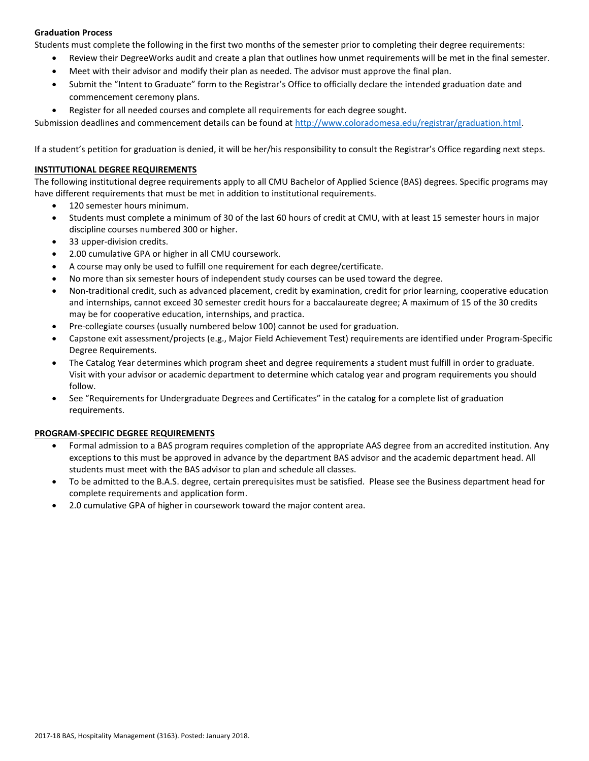# **Graduation Process**

Students must complete the following in the first two months of the semester prior to completing their degree requirements:

- Review their DegreeWorks audit and create a plan that outlines how unmet requirements will be met in the final semester.
- Meet with their advisor and modify their plan as needed. The advisor must approve the final plan.
- Submit the "Intent to Graduate" form to the Registrar's Office to officially declare the intended graduation date and commencement ceremony plans.
- Register for all needed courses and complete all requirements for each degree sought.

Submission deadlines and commencement details can be found at [http://www.coloradomesa.edu/registrar/graduation.html.](http://www.coloradomesa.edu/registrar/graduation.html)

If a student's petition for graduation is denied, it will be her/his responsibility to consult the Registrar's Office regarding next steps.

## **INSTITUTIONAL DEGREE REQUIREMENTS**

The following institutional degree requirements apply to all CMU Bachelor of Applied Science (BAS) degrees. Specific programs may have different requirements that must be met in addition to institutional requirements.

- 120 semester hours minimum.
- Students must complete a minimum of 30 of the last 60 hours of credit at CMU, with at least 15 semester hours in major discipline courses numbered 300 or higher.
- 33 upper-division credits.
- 2.00 cumulative GPA or higher in all CMU coursework.
- A course may only be used to fulfill one requirement for each degree/certificate.
- No more than six semester hours of independent study courses can be used toward the degree.
- Non-traditional credit, such as advanced placement, credit by examination, credit for prior learning, cooperative education and internships, cannot exceed 30 semester credit hours for a baccalaureate degree; A maximum of 15 of the 30 credits may be for cooperative education, internships, and practica.
- Pre-collegiate courses (usually numbered below 100) cannot be used for graduation.
- Capstone exit assessment/projects (e.g., Major Field Achievement Test) requirements are identified under Program-Specific Degree Requirements.
- The Catalog Year determines which program sheet and degree requirements a student must fulfill in order to graduate. Visit with your advisor or academic department to determine which catalog year and program requirements you should follow.
- See "Requirements for Undergraduate Degrees and Certificates" in the catalog for a complete list of graduation requirements.

#### **PROGRAM-SPECIFIC DEGREE REQUIREMENTS**

- Formal admission to a BAS program requires completion of the appropriate AAS degree from an accredited institution. Any exceptions to this must be approved in advance by the department BAS advisor and the academic department head. All students must meet with the BAS advisor to plan and schedule all classes.
- To be admitted to the B.A.S. degree, certain prerequisites must be satisfied. Please see the Business department head for complete requirements and application form.
- 2.0 cumulative GPA of higher in coursework toward the major content area.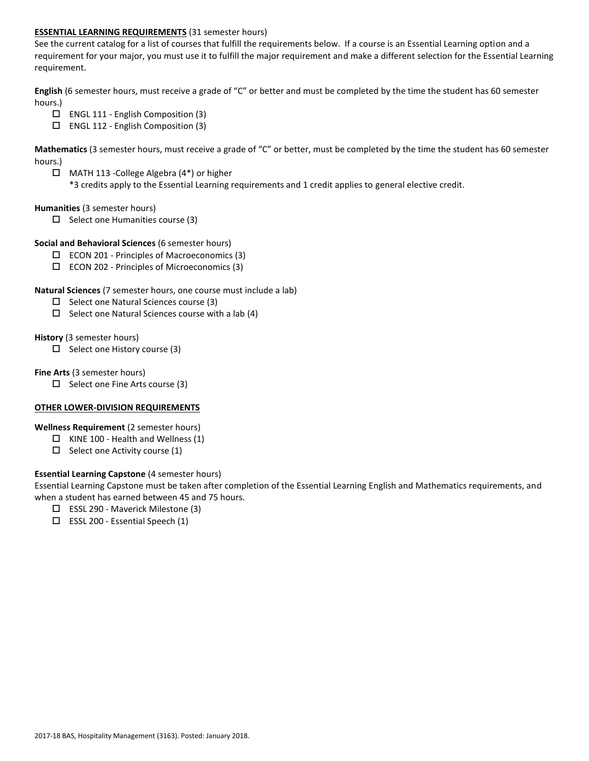## **ESSENTIAL LEARNING REQUIREMENTS** (31 semester hours)

See the current catalog for a list of courses that fulfill the requirements below. If a course is an Essential Learning option and a requirement for your major, you must use it to fulfill the major requirement and make a different selection for the Essential Learning requirement.

**English** (6 semester hours, must receive a grade of "C" or better and must be completed by the time the student has 60 semester hours.)

- ENGL 111 English Composition (3)
- $\square$  ENGL 112 English Composition (3)

**Mathematics** (3 semester hours, must receive a grade of "C" or better, must be completed by the time the student has 60 semester hours.)

 MATH 113 -College Algebra (4\*) or higher \*3 credits apply to the Essential Learning requirements and 1 credit applies to general elective credit.

#### **Humanities** (3 semester hours)

 $\Box$  Select one Humanities course (3)

### **Social and Behavioral Sciences** (6 semester hours)

- $\square$  ECON 201 Principles of Macroeconomics (3)
- $\square$  ECON 202 Principles of Microeconomics (3)

### **Natural Sciences** (7 semester hours, one course must include a lab)

- $\Box$  Select one Natural Sciences course (3)
- $\Box$  Select one Natural Sciences course with a lab (4)

### **History** (3 semester hours)

 $\square$  Select one History course (3)

### **Fine Arts** (3 semester hours)

 $\Box$  Select one Fine Arts course (3)

# **OTHER LOWER-DIVISION REQUIREMENTS**

# **Wellness Requirement** (2 semester hours)

- $\Box$  KINE 100 Health and Wellness (1)
- $\Box$  Select one Activity course (1)

# **Essential Learning Capstone** (4 semester hours)

Essential Learning Capstone must be taken after completion of the Essential Learning English and Mathematics requirements, and when a student has earned between 45 and 75 hours.

- $\Box$  ESSL 290 Maverick Milestone (3)
- $\square$  ESSL 200 Essential Speech (1)